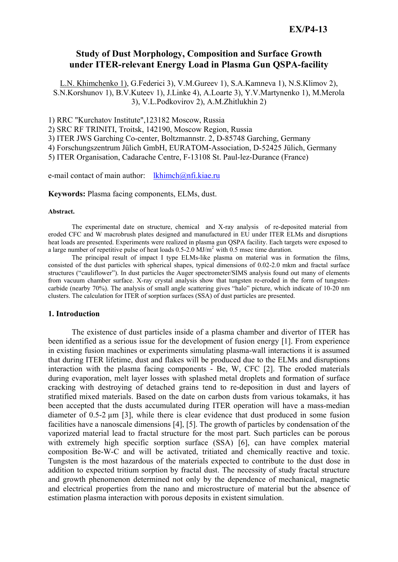## **Study of Dust Morphology, Composition and Surface Growth under ITER-relevant Energy Load in Plasma Gun QSPA-facility**

L.N. Khimchenko 1), G.Federici 3), V.M.Gureev 1), S.A.Kamneva 1), N.S.Klimov 2), S.N.Korshunov 1), B.V.Kuteev 1), J.Linke 4), A.Loarte 3), Y.V.Martynenko 1), M.Merola 3), V.L.Podkovirov 2), A.M.Zhitlukhin 2)

1) RRC "Kurchatov Institute",123182 Moscow, Russia

2) SRC RF TRINITI, Troitsk, 142190, Moscow Region, Russia

3) ITER JWS Garching Co-center, Boltzmannstr. 2, D-85748 Garching, Germany

4) Forschungszentrum Jülich GmbH, EURATOM-Association, D-52425 Jülich, Germany

5) ITER Organisation, Cadarache Centre, F-13108 St. Paul-lez-Durance (France)

e-mail contact of main author: lkhimch@nfi.kiae.ru

**Keywords:** Plasma facing components, ELMs, dust.

#### **Abstract.**

 The experimental date on structure, chemical and X-ray analysis of re-deposited material from eroded CFC and W macrobrush plates designed and manufactured in EU under ITER ELMs and disruptions heat loads are presented. Experiments were realized in plasma gun QSPA facility. Each targets were exposed to a large number of repetitive pulse of heat loads 0.5-2.0 MJ/m2 with 0.5 msec time duration.

 The principal result of impact I type ELMs-like plasma on material was in formation the films, consisted of the dust particles with spherical shapes, typical dimensions of 0.02-2.0 mkm and fractal surface structures ("cauliflower"). In dust particles the Auger spectrometer/SIMS analysis found out many of elements from vacuum chamber surface. X-ray crystal analysis show that tungsten re-eroded in the form of tungstencarbide (nearby 70%). The analysis of small angle scattering gives "halo" picture, which indicate of 10-20 nm clusters. The calculation for ITER of sorption surfaces (SSA) of dust particles are presented.

### **1. Introduction**

 The existence of dust particles inside of a plasma chamber and divertor of ITER has been identified as a serious issue for the development of fusion energy [1]. From experience in existing fusion machines or experiments simulating plasma-wall interactions it is assumed that during ITER lifetime, dust and flakes will be produced due to the ELMs and disruptions interaction with the plasma facing components - Be, W, CFC [2]. The eroded materials during evaporation, melt layer losses with splashed metal droplets and formation of surface cracking with destroying of detached grains tend to re-deposition in dust and layers of stratified mixed materials. Based on the date on carbon dusts from various tokamaks, it has been accepted that the dusts accumulated during ITER operation will have a mass-median diameter of 0.5-2 µm [3], while there is clear evidence that dust produced in some fusion facilities have a nanoscale dimensions [4], [5]. The growth of particles by condensation of the vaporized material lead to fractal structure for the most part. Such particles can be porous with extremely high specific sorption surface (SSA) [6], can have complex material composition Be-W-C and will be activated, tritiated and chemically reactive and toxic. Tungsten is the most hazardous of the materials expected to contribute to the dust dose in addition to expected tritium sorption by fractal dust. The necessity of study fractal structure and growth phenomenon determined not only by the dependence of mechanical, magnetic and electrical properties from the nano and microstructure of material but the absence of estimation plasma interaction with porous deposits in existent simulation.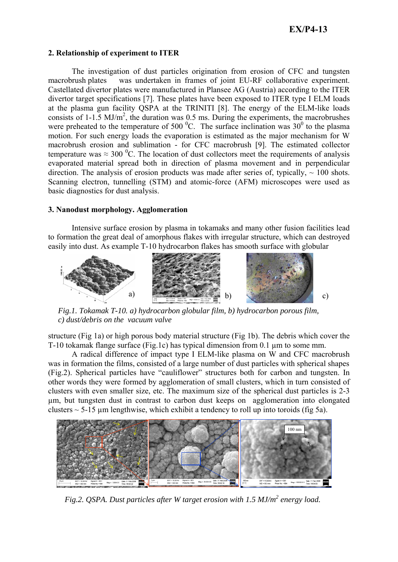### **2. Relationship of experiment to ITER**

 The investigation of dust particles origination from erosion of CFC and tungsten macrobrush plates was undertaken in frames of joint EU-RF collaborative experiment. Castellated divertor plates were manufactured in Plansee AG (Austria) according to the ITER divertor target specifications [7]. These plates have been exposed to ITER type I ELM loads at the plasma gun facility QSPA at the TRINITI [8]. The energy of the ELM-like loads consists of  $1-1.5$  MJ/m<sup>2</sup>, the duration was 0.5 ms. During the experiments, the macrobrushes were preheated to the temperature of 500  $^{\circ}$ C. The surface inclination was 30<sup>0</sup> to the plasma motion. For such energy loads the evaporation is estimated as the major mechanism for W macrobrush erosion and sublimation - for CFC macrobrush [9]. The estimated collector temperature was  $\approx 300$  °C. The location of dust collectors meet the requirements of analysis evaporated material spread both in direction of plasma movement and in perpendicular direction. The analysis of erosion products was made after series of, typically,  $\sim 100$  shots. Scanning electron, tunnelling (STM) and atomic-force (AFM) microscopes were used as basic diagnostics for dust analysis.

### **3. Nanodust morphology. Agglomeration**

 Intensive surface erosion by plasma in tokamaks and many other fusion facilities lead to formation the great deal of amorphous flakes with irregular structure, which can destroyed easily into dust. As example T-10 hydrocarbon flakes has smooth surface with globular



*Fig.1. Tokamak T-10. a) hydrocarbon globular film, b) hydrocarbon porous film, c) dust/debris on the vacuum valve* 

structure (Fig 1a) or high porous body material structure (Fig 1b). The debris which cover the T-10 tokamak flange surface (Fig.1c) has typical dimension from 0.1 µm to some mm.

 A radical difference of impact type I ELM-like plasma on W and CFC macrobrush was in formation the films, consisted of a large number of dust particles with spherical shapes (Fig.2). Spherical particles have "cauliflower" structures both for carbon and tungsten. In other words they were formed by agglomeration of small clusters, which in turn consisted of clusters with even smaller size, etc. The maximum size of the spherical dust particles is 2-3 µm, but tungsten dust in contrast to carbon dust keeps on agglomeration into elongated clusters  $\sim$  5-15 µm lengthwise, which exhibit a tendency to roll up into toroids (fig 5a).



*Fig.2. QSPA. Dust particles after W target erosion with 1.5 MJ/m2 energy load.*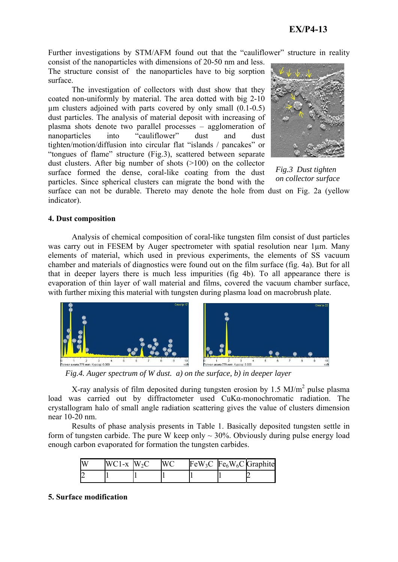Further investigations by STM/AFM found out that the "cauliflower" structure in reality consist of the nanoparticles with dimensions of 20-50 nm and less.

The structure consist of the nanoparticles have to big sorption surface.

 The investigation of collectors with dust show that they coated non-uniformly by material. The area dotted with big 2-10  $\mu$ m clusters adjoined with parts covered by only small  $(0.1-0.5)$ dust particles. The analysis of material deposit with increasing of plasma shots denote two parallel processes – agglomeration of nanoparticles into "cauliflower" dust and dust tighten/motion/diffusion into circular flat "islands / pancakes" or "tongues of flame" structure (Fig.3), scattered between separate dust clusters. After big number of shots (>100) on the collector surface formed the dense, coral-like coating from the dust particles. Since spherical clusters can migrate the bond with the



*Fig.3 Dust tighten on collector surface* 

surface can not be durable. Thereto may denote the hole from dust on Fig. 2a (yellow indicator).

## **4. Dust composition**

 Analysis of chemical composition of coral-like tungsten film consist of dust particles was carry out in FESEM by Auger spectrometer with spatial resolution near 1um. Many elements of material, which used in previous experiments, the elements of SS vacuum chamber and materials of diagnostics were found out on the film surface (fig. 4a). But for all that in deeper layers there is much less impurities (fig 4b). To all appearance there is evaporation of thin layer of wall material and films, covered the vacuum chamber surface, with further mixing this material with tungsten during plasma load on macrobrush plate.



*Fig.4. Auger spectrum of W dust. a) on the surface, b) in deeper layer* 

X-ray analysis of film deposited during tungsten erosion by 1.5  $MJ/m<sup>2</sup>$  pulse plasma load was carried out by diffractometer used CuKα-monochromatic radiation. The crystallogram halo of small angle radiation scattering gives the value of clusters dimension near 10-20 nm.

 Results of phase analysis presents in Table 1. Basically deposited tungsten settle in form of tungsten carbide. The pure W keep only  $\sim$  30%. Obviously during pulse energy load enough carbon evaporated for formation the tungsten carbides.

| IV | $WC1-x$ $W_2C$ |  |  | $FeW_3C$ $Fe_6W_6C$ Graphite |
|----|----------------|--|--|------------------------------|
|    |                |  |  |                              |

## **5. Surface modification**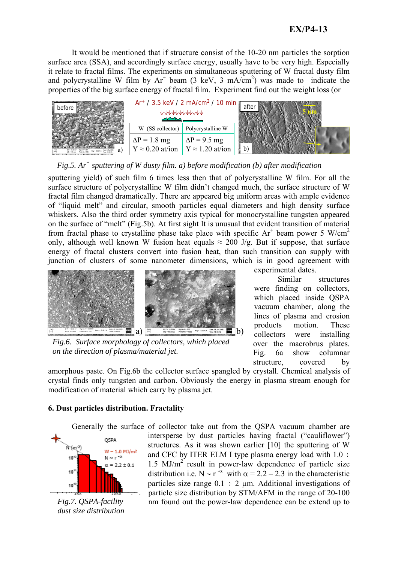It would be mentioned that if structure consist of the 10-20 nm particles the sorption surface area (SSA), and accordingly surface energy, usually have to be very high. Especially it relate to fractal films. The experiments on simultaneous sputtering of W fractal dusty film and polycrystalline W film by  $Ar^+$  beam (3 keV, 3 mA/cm<sup>2</sup>) was made to indicate the properties of the big surface energy of fractal film. Experiment find out the weight loss (or



*Fig.5. Ar<sup>+</sup> sputtering of W dusty film. a) before modification (b) after modification* 

sputtering yield) of such film 6 times less then that of polycrystalline W film. For all the surface structure of polycrystalline W film didn't changed much, the surface structure of W fractal film changed dramatically. There are appeared big uniform areas with ample evidence of "liquid melt" and circular, smooth particles equal diameters and high density surface whiskers. Also the third order symmetry axis typical for monocrystalline tungsten appeared on the surface of "melt" (Fig.5b). At first sight It is unusual that evident transition of material from fractal phase to crystalline phase take place with specific  $Ar^+$  beam power 5 W/cm<sup>2</sup> only, although well known W fusion heat equals  $\approx 200$  J/g. But if suppose, that surface energy of fractal clusters convert into fusion heat, than such transition can supply with junction of clusters of some nanometer dimensions, which is in good agreement with



*Fig.6. Surface morphology of collectors, which placed on the direction of plasma/material jet.* 

experimental dates.

 Similar structures were finding on collectors, which placed inside QSPA vacuum chamber, along the lines of plasma and erosion products motion. These collectors were installing over the macrobrus plates. Fig. 6a show columnar structure, covered by

amorphous paste. On Fig.6b the collector surface spangled by crystall. Chemical analysis of crystal finds only tungsten and carbon. Obviously the energy in plasma stream enough for modification of material which carry by plasma jet.

## **6. Dust particles distribution. Fractality**



*Fig.7. QSPA-facility dust size distribution* 

 Generally the surface of collector take out from the QSPA vacuum chamber are intersperse by dust particles having fractal ("cauliflower") structures. As it was shown earlier [10] the sputtering of W and CFC by ITER ELM I type plasma energy load with  $1.0 \div$  $1.5$  MJ/m<sup>2</sup> result in power-law dependence of particle size distribution i.e. N ~ r<sup>-α</sup> with  $\alpha = 2.2 - 2.3$  in the characteristic particles size range  $0.1 \div 2 \mu$ m. Additional investigations of particle size distribution by STM/AFM in the range of 20-100 nm found out the power-law dependence can be extend up to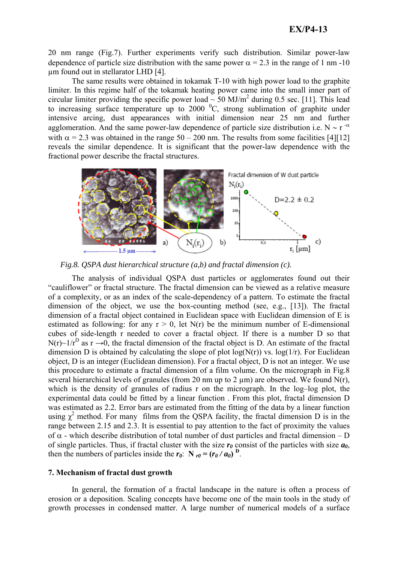20 nm range (Fig.7). Further experiments verify such distribution. Similar power-law dependence of particle size distribution with the same power  $\alpha = 2.3$  in the range of 1 nm -10 µm found out in stellarator LHD [4].

 The same results were obtained in tokamak T-10 with high power load to the graphite limiter. In this regime half of the tokamak heating power came into the small inner part of circular limiter providing the specific power load  $\sim$  50 MJ/m<sup>2</sup> during 0.5 sec. [11]. This lead to increasing surface temperature up to  $2000<sup>0</sup>C$ , strong sublimation of graphite under intensive arcing, dust appearances with initial dimension near 25 nm and further agglomeration. And the same power-law dependence of particle size distribution i.e. N  $\sim$  r<sup>-α</sup> with  $\alpha = 2.3$  was obtained in the range  $50 - 200$  nm. The results from some facilities [4][12] reveals the similar dependence. It is significant that the power-law dependence with the fractional power describe the fractal structures.



*Fig.8. QSPA dust hierarchical structure (a,b) and fractal dimension (c).* 

 The analysis of individual QSPA dust particles or agglomerates found out their "cauliflower" or fractal structure. The fractal dimension can be viewed as a relative measure of a complexity, or as an index of the scale-dependency of a pattern. To estimate the fractal dimension of the object, we use the box-counting method (see, e.g., [13]). The fractal dimension of a fractal object contained in Euclidean space with Euclidean dimension of E is estimated as following: for any  $r > 0$ , let  $N(r)$  be the minimum number of E-dimensional cubes of side-length r needed to cover a fractal object. If there is a number D so that  $N(r) \sim 1/r^D$  as  $r \to 0$ , the fractal dimension of the fractal object is D. An estimate of the fractal dimension D is obtained by calculating the slope of plot  $log(N(r))$  vs.  $log(1/r)$ . For Euclidean object, D is an integer (Euclidean dimension). For a fractal object, D is not an integer. We use this procedure to estimate a fractal dimension of a film volume. On the micrograph in Fig.8 several hierarchical levels of granules (from 20 nm up to 2  $\mu$ m) are observed. We found N(r), which is the density of granules of radius r on the micrograph. In the log-log plot, the experimental data could be fitted by a linear function . From this plot, fractal dimension D was estimated as 2.2. Error bars are estimated from the fitting of the data by a linear function using  $\chi^2$  method. For many films from the QSPA facility, the fractal dimension D is in the range between 2.15 and 2.3. It is essential to pay attention to the fact of proximity the values of α - which describe distribution of total number of dust particles and fractal dimension – D of single particles. Thus, if fractal cluster with the size  $r_0$  consist of the particles with size  $a_0$ , then the numbers of particles inside the  $r_0$ :  $N_{r0} = (r_0 / a_0)^D$ .

### **7. Mechanism of fractal dust growth**

 In general, the formation of a fractal landscape in the nature is often a process of erosion or a deposition. Scaling concepts have become one of the main tools in the study of growth processes in condensed matter. A large number of numerical models of a surface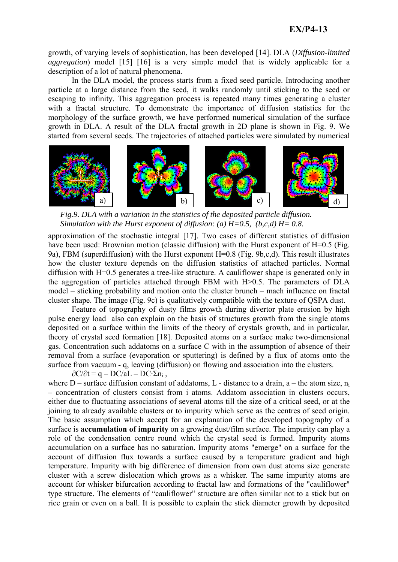growth, of varying levels of sophistication, has been developed [14]. DLA (*Diffusion-limited aggregation*) model [15] [16] is a very simple model that is widely applicable for a description of a lot of natural phenomena.

 In the DLA model, the process starts from a fixed seed particle. Introducing another particle at a large distance from the seed, it walks randomly until sticking to the seed or escaping to infinity. This aggregation process is repeated many times generating a cluster with a fractal structure. To demonstrate the importance of diffusion statistics for the morphology of the surface growth, we have performed numerical simulation of the surface growth in DLA. A result of the DLA fractal growth in 2D plane is shown in Fig. 9. We started from several seeds. The trajectories of attached particles were simulated by numerical



*Fig.9. DLA with a variation in the statistics of the deposited particle diffusion. Simulation with the Hurst exponent of diffusion: (a) H=0.5, (b,c,d) H= 0.8.* 

approximation of the stochastic integral [17]. Two cases of different statistics of diffusion have been used: Brownian motion (classic diffusion) with the Hurst exponent of H=0.5 (Fig. 9a), FBM (superdiffusion) with the Hurst exponent H=0.8 (Fig. 9b,c,d). This result illustrates how the cluster texture depends on the diffusion statistics of attached particles. Normal diffusion with H=0.5 generates a tree-like structure. A cauliflower shape is generated only in the aggregation of particles attached through FBM with H>0.5. The parameters of DLA model – sticking probability and motion onto the cluster brunch – mach influence on fractal cluster shape. The image (Fig. 9c) is qualitatively compatible with the texture of QSPA dust.

Feature of topography of dusty films growth during divertor plate erosion by high pulse energy load also can explain on the basis of structures growth from the single atoms deposited on a surface within the limits of the theory of crystals growth, and in particular, theory of crystal seed formation [18]. Deposited atoms on a surface make two-dimensional gas. Concentration such addatoms on a surface C with in the assumption of absence of their removal from a surface (evaporation or sputtering) is defined by a flux of atoms onto the surface from vacuum - q, leaving (diffusion) on flowing and association into the clusters.

 $\partial C/\partial t = q - DC/aL - DC \cdot \Sigma n_i$ ,

where  $D$  – surface diffusion constant of addatoms, L - distance to a drain, a – the atom size,  $n_i$ – concentration of clusters consist from i atoms. Addatom association in clusters occurs, either due to fluctuating associations of several atoms till the size of a critical seed, or at the joining to already available clusters or to impurity which serve as the centres of seed origin. The basic assumption which accept for an explanation of the developed topography of a surface is **accumulation of impurity** on a growing dust/film surface. The impurity can play a role of the condensation centre round which the crystal seed is formed. Impurity atoms accumulation on a surface has no saturation. Impurity atoms "emerge" on a surface for the account of diffusion flux towards a surface caused by a temperature gradient and high temperature. Impurity with big difference of dimension from own dust atoms size generate cluster with a screw dislocation which grows as a whisker. The same impurity atoms are account for whisker bifurcation according to fractal law and formations of the "cauliflower" type structure. The elements of "cauliflower" structure are often similar not to a stick but on rice grain or even on a ball. It is possible to explain the stick diameter growth by deposited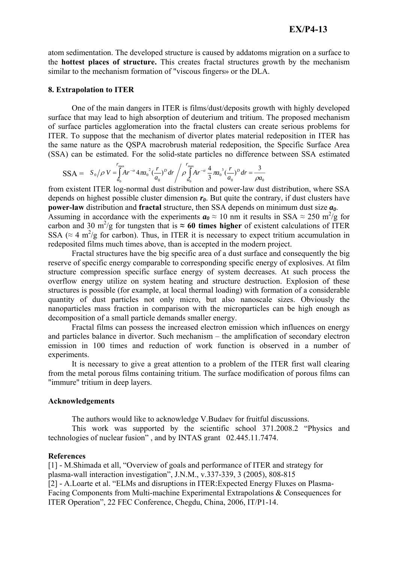atom sedimentation. The developed structure is caused by addatoms migration on a surface to the **hottest places of structure.** This creates fractal structures growth by the mechanism similar to the mechanism formation of "viscous fingers» or the DLA.

#### **8. Extrapolation to ITER**

 One of the main dangers in ITER is films/dust/deposits growth with highly developed surface that may lead to high absorption of deuterium and tritium. The proposed mechanism of surface particles agglomeration into the fractal clusters can create serious problems for ITER. To suppose that the mechanism of divertor plates material redeposition in ITER has the same nature as the QSPA macrobrush material redeposition, the Specific Surface Area (SSA) can be estimated. For the solid-state particles no difference between SSA estimated

$$
SSA = S_0 / \rho V = \int_{a_0}^{r_{\text{max}}} Ar^{-\alpha} 4\pi a_0^2 \left(\frac{r}{a_0}\right)^p dr / \rho \int_{a_0}^{r_{\text{max}}} Ar^{-\alpha} \frac{4}{3} \pi a_0^3 \left(\frac{r}{a_0}\right)^p dr = \frac{3}{\rho a_0}
$$

from existent ITER log-normal dust distribution and power-law dust distribution, where SSA depends on highest possible cluster dimension  $r_0$ . But quite the contrary, if dust clusters have **power-law** distribution and **fractal** structure, then SSA depends on minimum dust size *a0*. Assuming in accordance with the experiments  $a_0 \approx 10$  nm it results in SSA  $\approx 250$  m<sup>2</sup>/g for carbon and 30 m<sup>2</sup>/g for tungsten that is  $\approx$  60 times higher of existent calculations of ITER SSA ( $\approx$  4 m<sup>2</sup>/g for carbon). Thus, in ITER it is necessary to expect tritium accumulation in redeposited films much times above, than is accepted in the modern project.

 Fractal structures have the big specific area of a dust surface and consequently the big reserve of specific energy comparable to corresponding specific energy of explosives. At film structure compression specific surface energy of system decreases. At such process the overflow energy utilize on system heating and structure destruction. Explosion of these structures is possible (for example, at local thermal loading) with formation of a considerable quantity of dust particles not only micro, but also nanoscale sizes. Obviously the nanoparticles mass fraction in comparison with the microparticles can be high enough as decomposition of a small particle demands smaller energy.

 Fractal films can possess the increased electron emission which influences on energy and particles balance in divertor. Such mechanism – the amplification of secondary electron emission in 100 times and reduction of work function is observed in a number of experiments.

 It is necessary to give a great attention to a problem of the ITER first wall clearing from the metal porous films containing tritium. The surface modification of porous films can "immure" tritium in deep layers.

#### **Acknowledgements**

The authors would like to acknowledge V.Budaev for fruitful discussions.

 This work was supported by the scientific school 371.2008.2 "Physics and technologies of nuclear fusion" , and by INTAS grant 02.445.11.7474.

## **References**

[1] - M.Shimada et all, "Overview of goals and performance of ITER and strategy for plasma-wall interaction investigation", J.N.M., v.337-339, 3 (2005), 808-815 [2] - A.Loarte et al. "ELMs and disruptions in ITER:Expected Energy Fluxes on Plasma-Facing Components from Multi-machine Experimental Extrapolations & Consequences for ITER Operation", 22 FEC Conference, Chegdu, China, 2006, IT/P1-14.